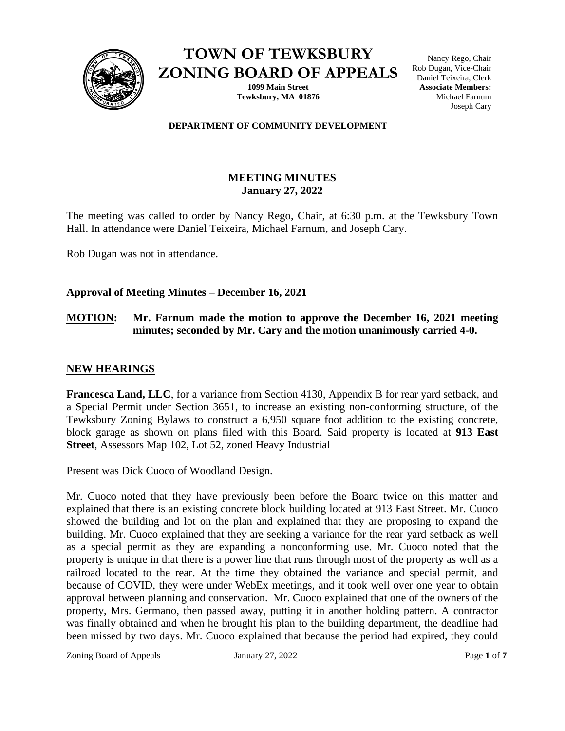

**TOWN OF TEWKSBURY ZONING BOARD OF APPEALS**

> **1099 Main Street Tewksbury, MA 01876**

Nancy Rego, Chair Rob Dugan, Vice-Chair Daniel Teixeira, Clerk **Associate Members:** Michael Farnum Joseph Cary

#### **DEPARTMENT OF COMMUNITY DEVELOPMENT**

# **MEETING MINUTES January 27, 2022**

The meeting was called to order by Nancy Rego, Chair, at 6:30 p.m. at the Tewksbury Town Hall. In attendance were Daniel Teixeira, Michael Farnum, and Joseph Cary.

Rob Dugan was not in attendance.

### **Approval of Meeting Minutes – December 16, 2021**

### **MOTION: Mr. Farnum made the motion to approve the December 16, 2021 meeting minutes; seconded by Mr. Cary and the motion unanimously carried 4-0.**

### **NEW HEARINGS**

**Francesca Land, LLC**, for a variance from Section 4130, Appendix B for rear yard setback, and a Special Permit under Section 3651, to increase an existing non-conforming structure, of the Tewksbury Zoning Bylaws to construct a 6,950 square foot addition to the existing concrete, block garage as shown on plans filed with this Board. Said property is located at **913 East Street**, Assessors Map 102, Lot 52, zoned Heavy Industrial

Present was Dick Cuoco of Woodland Design.

Mr. Cuoco noted that they have previously been before the Board twice on this matter and explained that there is an existing concrete block building located at 913 East Street. Mr. Cuoco showed the building and lot on the plan and explained that they are proposing to expand the building. Mr. Cuoco explained that they are seeking a variance for the rear yard setback as well as a special permit as they are expanding a nonconforming use. Mr. Cuoco noted that the property is unique in that there is a power line that runs through most of the property as well as a railroad located to the rear. At the time they obtained the variance and special permit, and because of COVID, they were under WebEx meetings, and it took well over one year to obtain approval between planning and conservation. Mr. Cuoco explained that one of the owners of the property, Mrs. Germano, then passed away, putting it in another holding pattern. A contractor was finally obtained and when he brought his plan to the building department, the deadline had been missed by two days. Mr. Cuoco explained that because the period had expired, they could

Zoning Board of Appeals January 27, 2022 Page **1** of **7**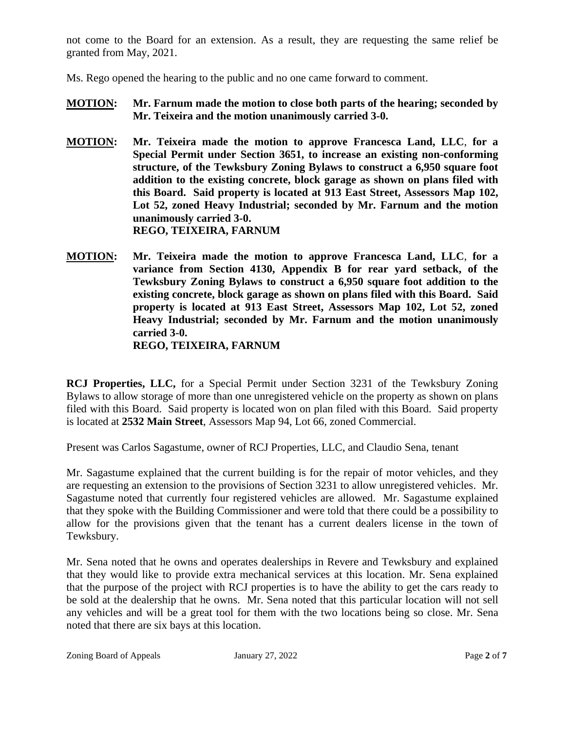not come to the Board for an extension. As a result, they are requesting the same relief be granted from May, 2021.

Ms. Rego opened the hearing to the public and no one came forward to comment.

- **MOTION: Mr. Farnum made the motion to close both parts of the hearing; seconded by Mr. Teixeira and the motion unanimously carried 3-0.**
- **MOTION: Mr. Teixeira made the motion to approve Francesca Land, LLC**, **for a Special Permit under Section 3651, to increase an existing non-conforming structure, of the Tewksbury Zoning Bylaws to construct a 6,950 square foot addition to the existing concrete, block garage as shown on plans filed with this Board. Said property is located at 913 East Street, Assessors Map 102, Lot 52, zoned Heavy Industrial; seconded by Mr. Farnum and the motion unanimously carried 3-0. REGO, TEIXEIRA, FARNUM**
- **MOTION: Mr. Teixeira made the motion to approve Francesca Land, LLC**, **for a variance from Section 4130, Appendix B for rear yard setback, of the Tewksbury Zoning Bylaws to construct a 6,950 square foot addition to the existing concrete, block garage as shown on plans filed with this Board. Said property is located at 913 East Street, Assessors Map 102, Lot 52, zoned Heavy Industrial; seconded by Mr. Farnum and the motion unanimously carried 3-0. REGO, TEIXEIRA, FARNUM**

**RCJ Properties, LLC,** for a Special Permit under Section 3231 of the Tewksbury Zoning Bylaws to allow storage of more than one unregistered vehicle on the property as shown on plans filed with this Board. Said property is located won on plan filed with this Board. Said property is located at **2532 Main Street**, Assessors Map 94, Lot 66, zoned Commercial.

Present was Carlos Sagastume, owner of RCJ Properties, LLC, and Claudio Sena, tenant

Mr. Sagastume explained that the current building is for the repair of motor vehicles, and they are requesting an extension to the provisions of Section 3231 to allow unregistered vehicles. Mr. Sagastume noted that currently four registered vehicles are allowed. Mr. Sagastume explained that they spoke with the Building Commissioner and were told that there could be a possibility to allow for the provisions given that the tenant has a current dealers license in the town of Tewksbury.

Mr. Sena noted that he owns and operates dealerships in Revere and Tewksbury and explained that they would like to provide extra mechanical services at this location. Mr. Sena explained that the purpose of the project with RCJ properties is to have the ability to get the cars ready to be sold at the dealership that he owns. Mr. Sena noted that this particular location will not sell any vehicles and will be a great tool for them with the two locations being so close. Mr. Sena noted that there are six bays at this location.

Zoning Board of Appeals January 27, 2022 Page **2** of **7**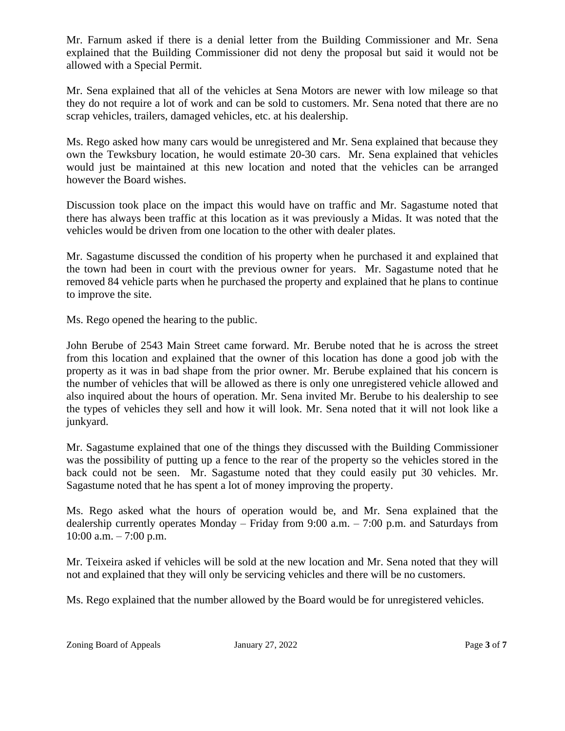Mr. Farnum asked if there is a denial letter from the Building Commissioner and Mr. Sena explained that the Building Commissioner did not deny the proposal but said it would not be allowed with a Special Permit.

Mr. Sena explained that all of the vehicles at Sena Motors are newer with low mileage so that they do not require a lot of work and can be sold to customers. Mr. Sena noted that there are no scrap vehicles, trailers, damaged vehicles, etc. at his dealership.

Ms. Rego asked how many cars would be unregistered and Mr. Sena explained that because they own the Tewksbury location, he would estimate 20-30 cars. Mr. Sena explained that vehicles would just be maintained at this new location and noted that the vehicles can be arranged however the Board wishes.

Discussion took place on the impact this would have on traffic and Mr. Sagastume noted that there has always been traffic at this location as it was previously a Midas. It was noted that the vehicles would be driven from one location to the other with dealer plates.

Mr. Sagastume discussed the condition of his property when he purchased it and explained that the town had been in court with the previous owner for years. Mr. Sagastume noted that he removed 84 vehicle parts when he purchased the property and explained that he plans to continue to improve the site.

Ms. Rego opened the hearing to the public.

John Berube of 2543 Main Street came forward. Mr. Berube noted that he is across the street from this location and explained that the owner of this location has done a good job with the property as it was in bad shape from the prior owner. Mr. Berube explained that his concern is the number of vehicles that will be allowed as there is only one unregistered vehicle allowed and also inquired about the hours of operation. Mr. Sena invited Mr. Berube to his dealership to see the types of vehicles they sell and how it will look. Mr. Sena noted that it will not look like a junkyard.

Mr. Sagastume explained that one of the things they discussed with the Building Commissioner was the possibility of putting up a fence to the rear of the property so the vehicles stored in the back could not be seen. Mr. Sagastume noted that they could easily put 30 vehicles. Mr. Sagastume noted that he has spent a lot of money improving the property.

Ms. Rego asked what the hours of operation would be, and Mr. Sena explained that the dealership currently operates Monday – Friday from 9:00 a.m. – 7:00 p.m. and Saturdays from 10:00 a.m. – 7:00 p.m.

Mr. Teixeira asked if vehicles will be sold at the new location and Mr. Sena noted that they will not and explained that they will only be servicing vehicles and there will be no customers.

Ms. Rego explained that the number allowed by the Board would be for unregistered vehicles.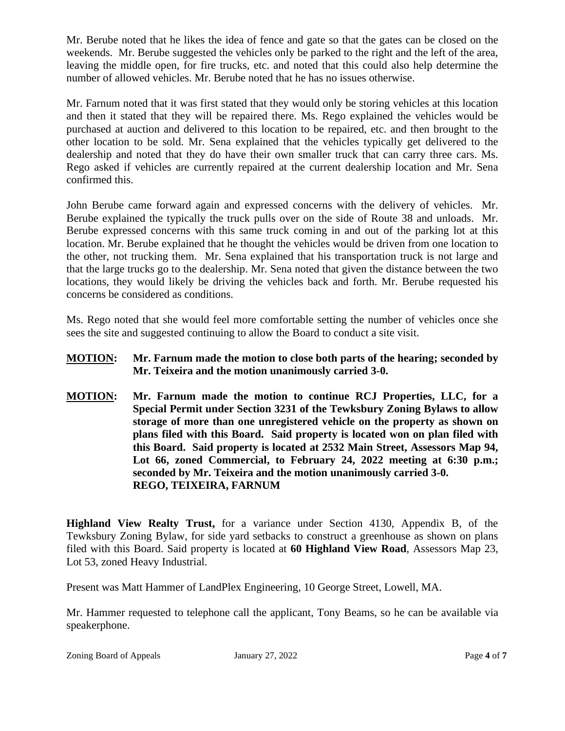Mr. Berube noted that he likes the idea of fence and gate so that the gates can be closed on the weekends. Mr. Berube suggested the vehicles only be parked to the right and the left of the area, leaving the middle open, for fire trucks, etc. and noted that this could also help determine the number of allowed vehicles. Mr. Berube noted that he has no issues otherwise.

Mr. Farnum noted that it was first stated that they would only be storing vehicles at this location and then it stated that they will be repaired there. Ms. Rego explained the vehicles would be purchased at auction and delivered to this location to be repaired, etc. and then brought to the other location to be sold. Mr. Sena explained that the vehicles typically get delivered to the dealership and noted that they do have their own smaller truck that can carry three cars. Ms. Rego asked if vehicles are currently repaired at the current dealership location and Mr. Sena confirmed this.

John Berube came forward again and expressed concerns with the delivery of vehicles. Mr. Berube explained the typically the truck pulls over on the side of Route 38 and unloads. Mr. Berube expressed concerns with this same truck coming in and out of the parking lot at this location. Mr. Berube explained that he thought the vehicles would be driven from one location to the other, not trucking them. Mr. Sena explained that his transportation truck is not large and that the large trucks go to the dealership. Mr. Sena noted that given the distance between the two locations, they would likely be driving the vehicles back and forth. Mr. Berube requested his concerns be considered as conditions.

Ms. Rego noted that she would feel more comfortable setting the number of vehicles once she sees the site and suggested continuing to allow the Board to conduct a site visit.

- **MOTION: Mr. Farnum made the motion to close both parts of the hearing; seconded by Mr. Teixeira and the motion unanimously carried 3-0.**
- **MOTION: Mr. Farnum made the motion to continue RCJ Properties, LLC, for a Special Permit under Section 3231 of the Tewksbury Zoning Bylaws to allow storage of more than one unregistered vehicle on the property as shown on plans filed with this Board. Said property is located won on plan filed with this Board. Said property is located at 2532 Main Street, Assessors Map 94, Lot 66, zoned Commercial, to February 24, 2022 meeting at 6:30 p.m.; seconded by Mr. Teixeira and the motion unanimously carried 3-0. REGO, TEIXEIRA, FARNUM**

**Highland View Realty Trust,** for a variance under Section 4130, Appendix B, of the Tewksbury Zoning Bylaw, for side yard setbacks to construct a greenhouse as shown on plans filed with this Board. Said property is located at **60 Highland View Road**, Assessors Map 23, Lot 53, zoned Heavy Industrial.

Present was Matt Hammer of LandPlex Engineering, 10 George Street, Lowell, MA.

Mr. Hammer requested to telephone call the applicant, Tony Beams, so he can be available via speakerphone.

Zoning Board of Appeals January 27, 2022 Page 4 of 7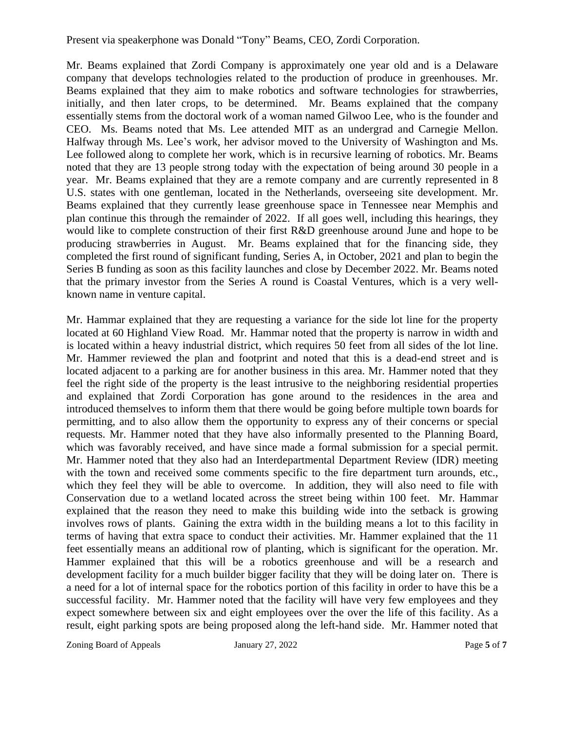Present via speakerphone was Donald "Tony" Beams, CEO, Zordi Corporation.

Mr. Beams explained that Zordi Company is approximately one year old and is a Delaware company that develops technologies related to the production of produce in greenhouses. Mr. Beams explained that they aim to make robotics and software technologies for strawberries, initially, and then later crops, to be determined. Mr. Beams explained that the company essentially stems from the doctoral work of a woman named Gilwoo Lee, who is the founder and CEO. Ms. Beams noted that Ms. Lee attended MIT as an undergrad and Carnegie Mellon. Halfway through Ms. Lee's work, her advisor moved to the University of Washington and Ms. Lee followed along to complete her work, which is in recursive learning of robotics. Mr. Beams noted that they are 13 people strong today with the expectation of being around 30 people in a year. Mr. Beams explained that they are a remote company and are currently represented in 8 U.S. states with one gentleman, located in the Netherlands, overseeing site development. Mr. Beams explained that they currently lease greenhouse space in Tennessee near Memphis and plan continue this through the remainder of 2022. If all goes well, including this hearings, they would like to complete construction of their first R&D greenhouse around June and hope to be producing strawberries in August. Mr. Beams explained that for the financing side, they completed the first round of significant funding, Series A, in October, 2021 and plan to begin the Series B funding as soon as this facility launches and close by December 2022. Mr. Beams noted that the primary investor from the Series A round is Coastal Ventures, which is a very wellknown name in venture capital.

Mr. Hammar explained that they are requesting a variance for the side lot line for the property located at 60 Highland View Road. Mr. Hammar noted that the property is narrow in width and is located within a heavy industrial district, which requires 50 feet from all sides of the lot line. Mr. Hammer reviewed the plan and footprint and noted that this is a dead-end street and is located adjacent to a parking are for another business in this area. Mr. Hammer noted that they feel the right side of the property is the least intrusive to the neighboring residential properties and explained that Zordi Corporation has gone around to the residences in the area and introduced themselves to inform them that there would be going before multiple town boards for permitting, and to also allow them the opportunity to express any of their concerns or special requests. Mr. Hammer noted that they have also informally presented to the Planning Board, which was favorably received, and have since made a formal submission for a special permit. Mr. Hammer noted that they also had an Interdepartmental Department Review (IDR) meeting with the town and received some comments specific to the fire department turn arounds, etc., which they feel they will be able to overcome. In addition, they will also need to file with Conservation due to a wetland located across the street being within 100 feet. Mr. Hammar explained that the reason they need to make this building wide into the setback is growing involves rows of plants. Gaining the extra width in the building means a lot to this facility in terms of having that extra space to conduct their activities. Mr. Hammer explained that the 11 feet essentially means an additional row of planting, which is significant for the operation. Mr. Hammer explained that this will be a robotics greenhouse and will be a research and development facility for a much builder bigger facility that they will be doing later on. There is a need for a lot of internal space for the robotics portion of this facility in order to have this be a successful facility. Mr. Hammer noted that the facility will have very few employees and they expect somewhere between six and eight employees over the over the life of this facility. As a result, eight parking spots are being proposed along the left-hand side. Mr. Hammer noted that

Zoning Board of Appeals January 27, 2022 Page 5 of 7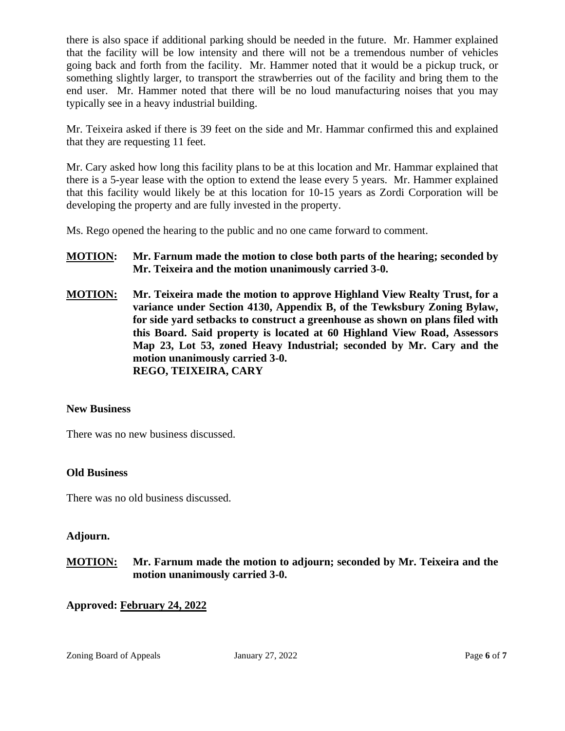there is also space if additional parking should be needed in the future. Mr. Hammer explained that the facility will be low intensity and there will not be a tremendous number of vehicles going back and forth from the facility. Mr. Hammer noted that it would be a pickup truck, or something slightly larger, to transport the strawberries out of the facility and bring them to the end user. Mr. Hammer noted that there will be no loud manufacturing noises that you may typically see in a heavy industrial building.

Mr. Teixeira asked if there is 39 feet on the side and Mr. Hammar confirmed this and explained that they are requesting 11 feet.

Mr. Cary asked how long this facility plans to be at this location and Mr. Hammar explained that there is a 5-year lease with the option to extend the lease every 5 years. Mr. Hammer explained that this facility would likely be at this location for 10-15 years as Zordi Corporation will be developing the property and are fully invested in the property.

Ms. Rego opened the hearing to the public and no one came forward to comment.

## **MOTION: Mr. Farnum made the motion to close both parts of the hearing; seconded by Mr. Teixeira and the motion unanimously carried 3-0.**

**MOTION: Mr. Teixeira made the motion to approve Highland View Realty Trust, for a variance under Section 4130, Appendix B, of the Tewksbury Zoning Bylaw, for side yard setbacks to construct a greenhouse as shown on plans filed with this Board. Said property is located at 60 Highland View Road, Assessors Map 23, Lot 53, zoned Heavy Industrial; seconded by Mr. Cary and the motion unanimously carried 3-0. REGO, TEIXEIRA, CARY**

### **New Business**

There was no new business discussed.

### **Old Business**

There was no old business discussed.

### **Adjourn.**

**MOTION: Mr. Farnum made the motion to adjourn; seconded by Mr. Teixeira and the motion unanimously carried 3-0.**

### **Approved: February 24, 2022**

Zoning Board of Appeals January 27, 2022 Page 6 of 7